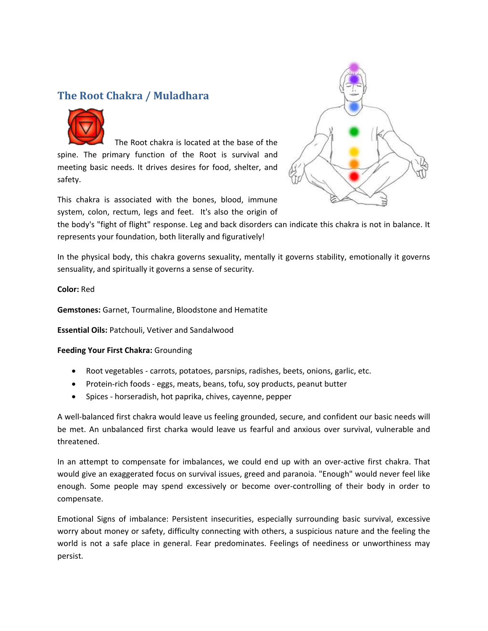## **The Root Chakra / Muladhara**



The Root chakra is located at the base of the spine. The primary function of the Root is survival and meeting basic needs. It drives desires for food, shelter, and safety.



This chakra is associated with the bones, blood, immune system, colon, rectum, legs and feet. It's also the origin of

the body's "fight of flight" response. Leg and back disorders can indicate this chakra is not in balance. It represents your foundation, both literally and figuratively!

In the physical body, this chakra governs sexuality, mentally it governs stability, emotionally it governs sensuality, and spiritually it governs a sense of security.

**Color:** Red

**Gemstones:** Garnet, Tourmaline, Bloodstone and Hematite

**Essential Oils:** Patchouli, Vetiver and Sandalwood

#### **Feeding Your First Chakra:** Grounding

- Root vegetables carrots, potatoes, parsnips, radishes, beets, onions, garlic, etc.
- Protein-rich foods eggs, meats, beans, tofu, soy products, peanut butter
- Spices horseradish, hot paprika, chives, cayenne, pepper

A well-balanced first chakra would leave us feeling grounded, secure, and confident our basic needs will be met. An unbalanced first charka would leave us fearful and anxious over survival, vulnerable and threatened.

In an attempt to compensate for imbalances, we could end up with an over-active first chakra. That would give an exaggerated focus on survival issues, greed and paranoia. "Enough" would never feel like enough. Some people may spend excessively or become over-controlling of their body in order to compensate.

Emotional Signs of imbalance: Persistent insecurities, especially surrounding basic survival, excessive worry about money or safety, difficulty connecting with others, a suspicious nature and the feeling the world is not a safe place in general. Fear predominates. Feelings of neediness or unworthiness may persist.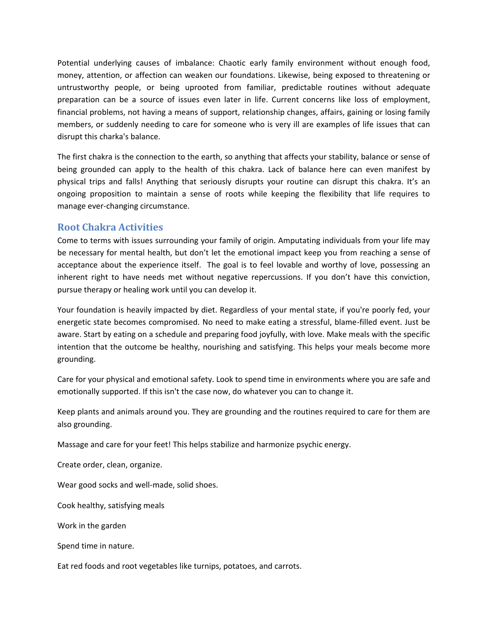Potential underlying causes of imbalance: Chaotic early family environment without enough food, money, attention, or affection can weaken our foundations. Likewise, being exposed to threatening or untrustworthy people, or being uprooted from familiar, predictable routines without adequate preparation can be a source of issues even later in life. Current concerns like loss of employment, financial problems, not having a means of support, relationship changes, affairs, gaining or losing family members, or suddenly needing to care for someone who is very ill are examples of life issues that can disrupt this charka's balance.

The first chakra is the connection to the earth, so anything that affects your stability, balance or sense of being grounded can apply to the health of this chakra. Lack of balance here can even manifest by physical trips and falls! Anything that seriously disrupts your routine can disrupt this chakra. It's an ongoing proposition to maintain a sense of roots while keeping the flexibility that life requires to manage ever-changing circumstance.

### **Root Chakra Activities**

Come to terms with issues surrounding your family of origin. Amputating individuals from your life may be necessary for mental health, but don't let the emotional impact keep you from reaching a sense of acceptance about the experience itself. The goal is to feel lovable and worthy of love, possessing an inherent right to have needs met without negative repercussions. If you don't have this conviction, pursue therapy or healing work until you can develop it.

Your foundation is heavily impacted by diet. Regardless of your mental state, if you're poorly fed, your energetic state becomes compromised. No need to make eating a stressful, blame-filled event. Just be aware. Start by eating on a schedule and preparing food joyfully, with love. Make meals with the specific intention that the outcome be healthy, nourishing and satisfying. This helps your meals become more grounding.

Care for your physical and emotional safety. Look to spend time in environments where you are safe and emotionally supported. If this isn't the case now, do whatever you can to change it.

Keep plants and animals around you. They are grounding and the routines required to care for them are also grounding.

Massage and care for your feet! This helps stabilize and harmonize psychic energy.

Create order, clean, organize.

Wear good socks and well-made, solid shoes.

Cook healthy, satisfying meals

Work in the garden

Spend time in nature.

Eat red foods and root vegetables like turnips, potatoes, and carrots.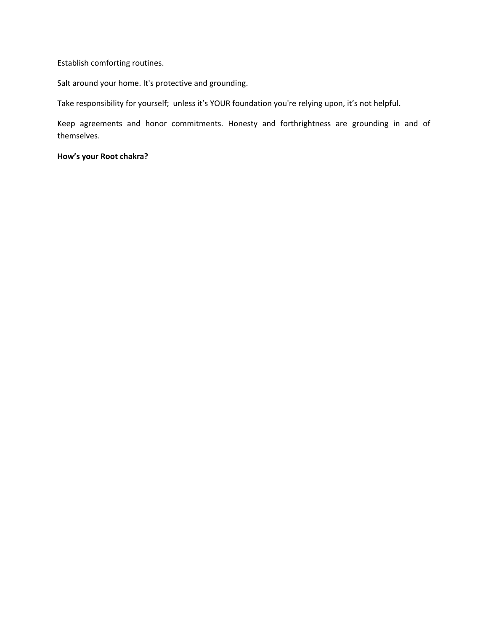Establish comforting routines.

Salt around your home. It's protective and grounding.

Take responsibility for yourself; unless it's YOUR foundation you're relying upon, it's not helpful.

Keep agreements and honor commitments. Honesty and forthrightness are grounding in and of themselves.

**How's your Root chakra?**